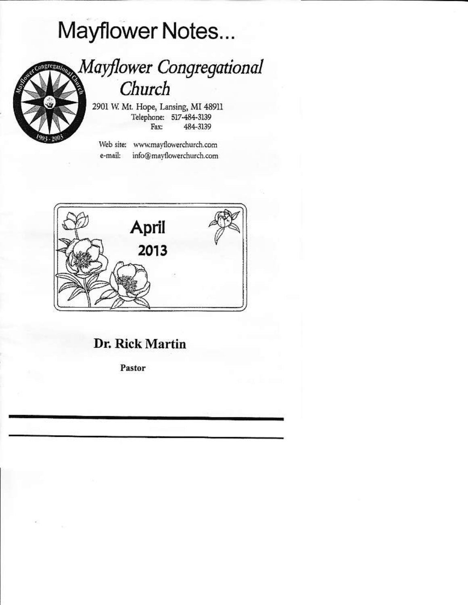# Mayflower Notes...



## Mayflower Congregational Church

2901 W. Mt. Hope, Lansing, MI 48911 Telephone: 517-484-3139 484-3139 Fax:

Web site: www.mayflowerchurch.com info@mayflowerchurch.com e-mail:



## Dr. Rick Martin

Pastor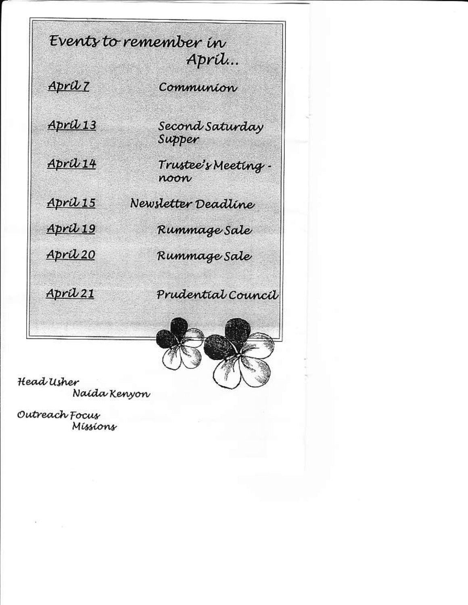Events to remember in Apríl... April 7 Communion Apríl 13 Second Saturday Supper April 14 Trustee's Meeting. noon April 15 Newsletter Deadline April 19 Rummage Sale April 20 Rummage Sale April 21 Prudential Council

Head Usher Naída Kenyon

Outreach Focus Míssíons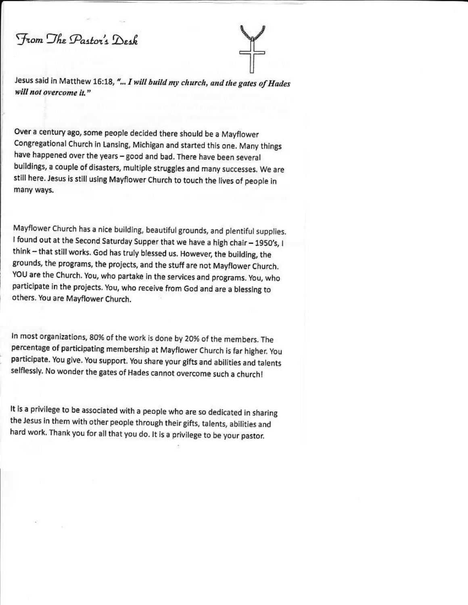From The Pastor's Desk

Jesus said in Matthew 16:18, "... I will build my church, and the gates of Hades will not overcome it."

Over a century ago, some people decided there should be a Mayflower Congregational Church in Lansing, Michigan and started this one. Many things have happened over the years - good and bad. There have been several buildings, a couple of disasters, multiple struggles and many successes. We are still here. Jesus is still using Mayflower Church to touch the lives of people in many ways.

Mayflower Church has a nice building, beautiful grounds, and plentiful supplies. I found out at the Second Saturday Supper that we have a high chair - 1950's, I think - that still works. God has truly blessed us. However, the building, the grounds, the programs, the projects, and the stuff are not Mayflower Church. YOU are the Church. You, who partake in the services and programs. You, who participate in the projects. You, who receive from God and are a blessing to others. You are Mayflower Church.

In most organizations, 80% of the work is done by 20% of the members. The percentage of participating membership at Mayflower Church is far higher. You participate. You give. You support. You share your gifts and abilities and talents selflessly. No wonder the gates of Hades cannot overcome such a church!

It is a privilege to be associated with a people who are so dedicated in sharing the Jesus in them with other people through their gifts, talents, abilities and hard work. Thank you for all that you do. It is a privilege to be your pastor.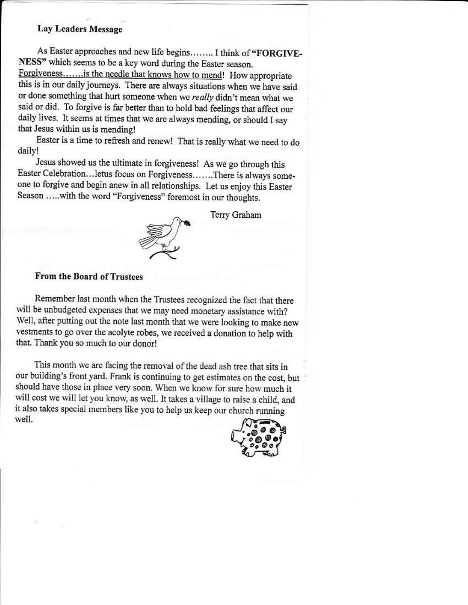#### **Lay Leaders Message**

As Easter approaches and new life begins........ I think of "FORGIVE-NESS" which seems to be a key word during the Easter season. Forgiveness.......is the needle that knows how to mend! How appropriate this is in our daily journeys. There are always situations when we have said or done something that hurt someone when we really didn't mean what we said or did. To forgive is far better than to hold bad feelings that affect our daily lives. It seems at times that we are always mending, or should I say that Jesus within us is mending!

Easter is a time to refresh and renew! That is really what we need to do daily!

Jesus showed us the ultimate in forgiveness! As we go through this Easter Celebration...letus focus on Forgiveness.......There is always someone to forgive and begin anew in all relationships. Let us enjoy this Easter Season .....with the word "Forgiveness" foremost in our thoughts.

Terry Graham



#### **From the Board of Trustees**

Remember last month when the Trustees recognized the fact that there will be unbudgeted expenses that we may need monetary assistance with? Well, after putting out the note last month that we were looking to make new vestments to go over the acolyte robes, we received a donation to help with that. Thank you so much to our donor!

This month we are facing the removal of the dead ash tree that sits in our building's front yard. Frank is continuing to get estimates on the cost, but should have those in place very soon. When we know for sure how much it will cost we will let you know, as well. It takes a village to raise a child, and it also takes special members like you to help us keep our church running well.

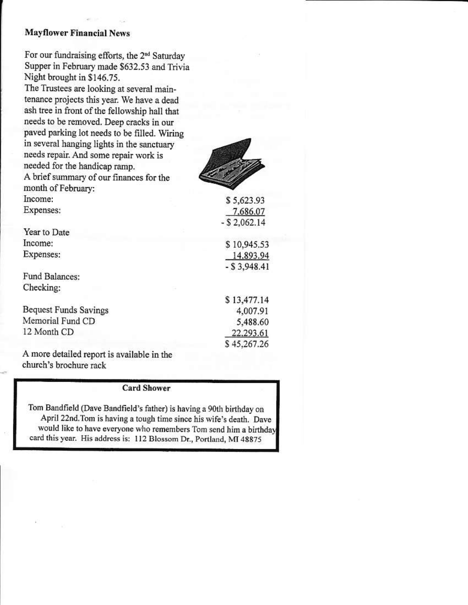#### **Mayflower Financial News**

For our fundraising efforts, the 2<sup>nd</sup> Saturday Supper in February made \$632.53 and Trivia Night brought in \$146.75.

The Trustees are looking at several maintenance projects this year. We have a dead ash tree in front of the fellowship hall that needs to be removed. Deep cracks in our paved parking lot needs to be filled. Wiring in several hanging lights in the sanctuary needs repair. And some repair work is needed for the handicap ramp. A brief summary of our finances for the month of February: Income: Expenses:

Year to Date Income: Expenses:

Fund Balances: Checking:

**Bequest Funds Savings** Memorial Fund CD 12 Month CD

A more detailed report is available in the church's brochure rack

#### **Card Shower**

Tom Bandfield (Dave Bandfield's father) is having a 90th birthday on April 22nd. Tom is having a tough time since his wife's death. Dave would like to have everyone who remembers Tom send him a birthday card this year. His address is: 112 Blossom Dr., Portland, MI 48875



 $-$  \$ 2,062.14 \$10,945.53 14.893.94  $-$  \$3,948.41 \$13,477.14 4,007.91 5,488.60 22.293.61

\$5.623.93

7.686.07

\$45,267.26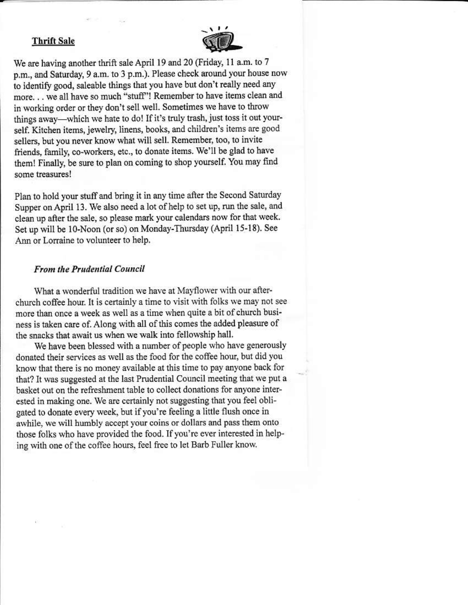#### **Thrift Sale**



We are having another thrift sale April 19 and 20 (Friday, 11 a.m. to 7 p.m., and Saturday, 9 a.m. to 3 p.m.). Please check around your house now to identify good, saleable things that you have but don't really need any more... we all have so much "stuff"! Remember to have items clean and in working order or they don't sell well. Sometimes we have to throw things away—which we hate to do! If it's truly trash, just toss it out yourself. Kitchen items, jewelry, linens, books, and children's items are good sellers, but you never know what will sell. Remember, too, to invite friends, family, co-workers, etc., to donate items. We'll be glad to have them! Finally, be sure to plan on coming to shop yourself. You may find some treasures!

Plan to hold your stuff and bring it in any time after the Second Saturday Supper on April 13. We also need a lot of help to set up, run the sale, and clean up after the sale, so please mark your calendars now for that week. Set up will be 10-Noon (or so) on Monday-Thursday (April 15-18). See Ann or Lorraine to volunteer to help.

#### **From the Prudential Council**

What a wonderful tradition we have at Mayflower with our afterchurch coffee hour. It is certainly a time to visit with folks we may not see more than once a week as well as a time when quite a bit of church business is taken care of. Along with all of this comes the added pleasure of the snacks that await us when we walk into fellowship hall.

We have been blessed with a number of people who have generously donated their services as well as the food for the coffee hour, but did you know that there is no money available at this time to pay anyone back for that? It was suggested at the last Prudential Council meeting that we put a basket out on the refreshment table to collect donations for anyone interested in making one. We are certainly not suggesting that you feel obligated to donate every week, but if you're feeling a little flush once in awhile, we will humbly accept your coins or dollars and pass them onto those folks who have provided the food. If you're ever interested in helping with one of the coffee hours, feel free to let Barb Fuller know.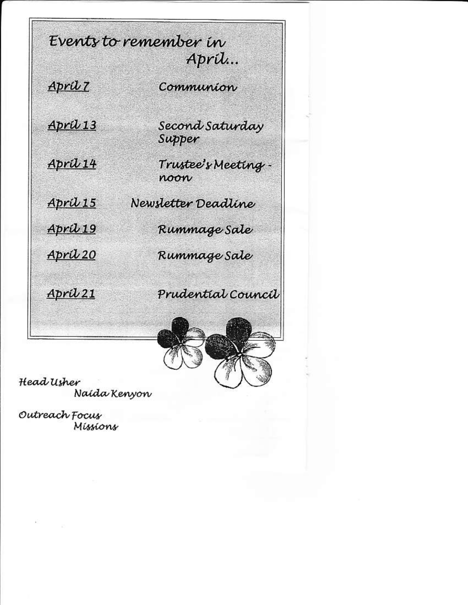Events to remember in April… April 7 Communion Second Saturday Apríl 13 Supper Trustee's Meeting -April 14 noon April 15 Newsletter Deadline Rummage Sale Apríl 19 April 20 Rummage Sale Prudential Council April 21

Head Usher Naida Kenyon

Outreach Focus Míssions